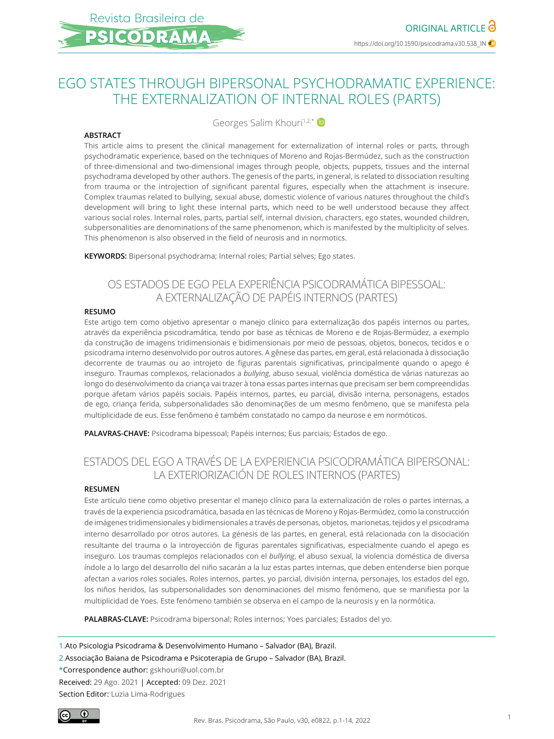# EGO STATES THROUGH BIPERSONAL PSYCHODRAMATIC EXPERIENCE: THE EXTERNALIZATION OF INTERNAL ROLES (PARTS)

Georges Salim Khouri<sup>1,2,\*</sup>

#### **ABSTRACT**

This article aims to present the clinical management for externalization of internal roles or parts, through psychodramatic experience, based on the techniques of Moreno and Rojas-Bermúdez, such as the construction of three-dimensional and two-dimensional images through people, objects, puppets, tissues and the internal psychodrama developed by other authors. The genesis of the parts, in general, is related to dissociation resulting from trauma or the introjection of significant parental figures, especially when the attachment is insecure. Complex traumas related to bullying, sexual abuse, domestic violence of various natures throughout the child's development will bring to light these internal parts, which need to be well understood because they affect various social roles. Internal roles, parts, partial self, internal division, characters, ego states, wounded children, subpersonalities are denominations of the same phenomenon, which is manifested by the multiplicity of selves. This phenomenon is also observed in the field of neurosis and in normotics.

**KEYWORDS:** Bipersonal psychodrama; Internal roles; Partial selves; Ego states.

# OS ESTADOS DE EGO PELA EXPERIÊNCIA PSICODRAMÁTICA BIPESSOAL: A EXTERNALIZAÇÃO DE PAPÉIS INTERNOS (PARTES)

#### **RESUMO**

Este artigo tem como objetivo apresentar o manejo clínico para externalização dos papéis internos ou partes, através da experiência psicodramática, tendo por base as técnicas de Moreno e de Rojas-Bermúdez, a exemplo da construção de imagens tridimensionais e bidimensionais por meio de pessoas, objetos, bonecos, tecidos e o psicodrama interno desenvolvido por outros autores. A gênese das partes, em geral, está relacionada à dissociação decorrente de traumas ou ao introjeto de figuras parentais significativas, principalmente quando o apego é inseguro. Traumas complexos, relacionados a *bullying*, abuso sexual, violência doméstica de várias naturezas ao longo do desenvolvimento da criança vai trazer à tona essas partes internas que precisam ser bem compreendidas porque afetam vários papéis sociais. Papéis internos, partes, eu parcial, divisão interna, personagens, estados de ego, criança ferida, subpersonalidades são denominações de um mesmo fenômeno, que se manifesta pela multiplicidade de eus. Esse fenômeno é também constatado no campo da neurose e em normóticos.

**PALAVRAS-CHAVE:** Psicodrama bipessoal; Papéis internos; Eus parciais; Estados de ego.

# ESTADOS DEL EGO A TRAVÉS DE LA EXPERIENCIA PSICODRAMÁTICA BIPERSONAL: LA EXTERIORIZACIÓN DE ROLES INTERNOS (PARTES)

#### **RESUMEN**

Este artículo tiene como objetivo presentar el manejo clínico para la externalización de roles o partes internas, a través de la experiencia psicodramática, basada en las técnicas de Moreno y Rojas-Bermúdez, como la construcción de imágenes tridimensionales y bidimensionales a través de personas, objetos, marionetas, tejidos y el psicodrama interno desarrollado por otros autores. La génesis de las partes, en general, está relacionada con la disociación resultante del trauma o la introyección de figuras parentales significativas, especialmente cuando el apego es inseguro. Los traumas complejos relacionados con el *bullying*, el abuso sexual, la violencia doméstica de diversa índole a lo largo del desarrollo del niño sacarán a la luz estas partes internas, que deben entenderse bien porque afectan a varios roles sociales. Roles internos, partes, yo parcial, división interna, personajes, los estados del ego, los niños heridos, las subpersonalidades son denominaciones del mismo fenómeno, que se manifiesta por la multiplicidad de Yoes. Este fenómeno también se observa en el campo de la neurosis y en la normótica.

**PALABRAS-CLAVE:** Psicodrama bipersonal; Roles internos; Yoes parciales; Estados del yo.

1.Ato Psicologia Psicodrama & Desenvolvimento Humano – Salvador (BA), Brazil.

2.Associação Baiana de Psicodrama e Psicoterapia de Grupo – Salvador (BA), Brazil.

\*Correspondence author: gskhouri@uol.com.br

Received: 29 Ago. 2021 | Accepted: 09 Dez. 2021

Section Editor: Luzia Lima-Rodrigues

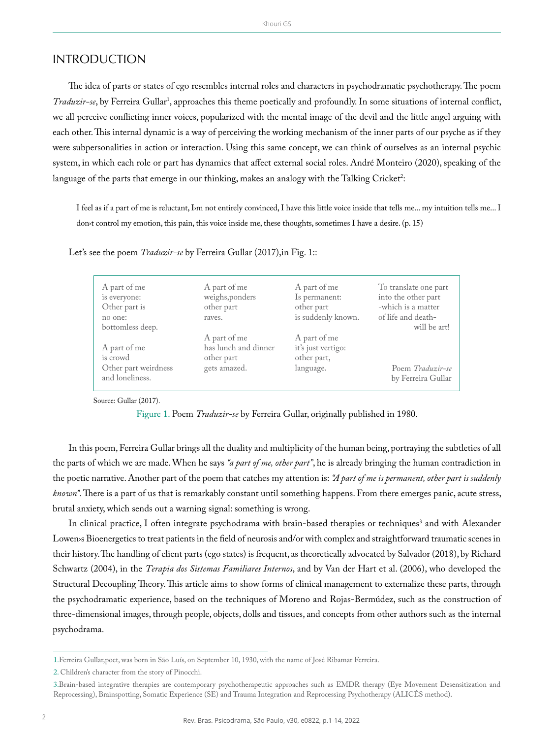#### INTRODUCTION

The idea of parts or states of ego resembles internal roles and characters in psychodramatic psychotherapy. The poem *Traduzir-se*, by Ferreira Gullar<sup>1</sup>, approaches this theme poetically and profoundly. In some situations of internal conflict, we all perceive conflicting inner voices, popularized with the mental image of the devil and the little angel arguing with each other. This internal dynamic is a way of perceiving the working mechanism of the inner parts of our psyche as if they were subpersonalities in action or interaction. Using this same concept, we can think of ourselves as an internal psychic system, in which each role or part has dynamics that affect external social roles. André Monteiro (2020), speaking of the language of the parts that emerge in our thinking, makes an analogy with the Talking Cricket<sup>2</sup>:

I feel as if a part of me is reluctant, I m not entirely convinced, I have this little voice inside that tells me... my intuition tells me... I don›t control my emotion, this pain, this voice inside me, these thoughts, sometimes I have a desire. (p. 15)

| A part of me<br>is everyone:<br>Other part is<br>no one:<br>bottomless deep. | A part of me<br>weighs, ponders<br>other part<br>raves.            | A part of me<br>Is permanent:<br>other part<br>is suddenly known. | To translate one part<br>into the other part<br>-which is a matter<br>of life and death-<br>will be art! |
|------------------------------------------------------------------------------|--------------------------------------------------------------------|-------------------------------------------------------------------|----------------------------------------------------------------------------------------------------------|
| A part of me<br>is crowd<br>Other part weirdness<br>and loneliness.          | A part of me<br>has lunch and dinner<br>other part<br>gets amazed. | A part of me<br>it's just vertigo:<br>other part,<br>language.    | Poem Traduzir-se<br>by Ferreira Gullar                                                                   |

Let's see the poem *Traduzir-se* by Ferreira Gullar (2017),in Fig. 1::

Source: Gullar (2017).

Figure 1. Poem *Traduzir-se* by Ferreira Gullar, originally published in 1980.

In this poem, Ferreira Gullar brings all the duality and multiplicity of the human being, portraying the subtleties of all the parts of which we are made. When he says *"a part of me, other part"*, he is already bringing the human contradiction in the poetic narrative. Another part of the poem that catches my attention is: *"A part of me is permanent, other part is suddenly known"*. There is a part of us that is remarkably constant until something happens. From there emerges panic, acute stress, brutal anxiety, which sends out a warning signal: something is wrong.

In clinical practice, I often integrate psychodrama with brain-based therapies or techniques<sup>3</sup> and with Alexander Lowen>s Bioenergetics to treat patients in the field of neurosis and/or with complex and straightforward traumatic scenes in their history. The handling of client parts (ego states) is frequent, as theoretically advocated by Salvador (2018), by Richard Schwartz (2004), in the *Terapia dos Sistemas Familiares Internos*, and by Van der Hart et al. (2006), who developed the Structural Decoupling Theory. This article aims to show forms of clinical management to externalize these parts, through the psychodramatic experience, based on the techniques of Moreno and Rojas-Bermúdez, such as the construction of three-dimensional images, through people, objects, dolls and tissues, and concepts from other authors such as the internal psychodrama.

<sup>1.</sup>Ferreira Gullar,poet, was born in São Luís, on September 10, 1930, with the name of José Ribamar Ferreira.

<sup>2.</sup> Children's character from the story of Pinocchi.

<sup>3.</sup>Brain-based integrative therapies are contemporary psychotherapeutic approaches such as EMDR therapy (Eye Movement Desensitization and Reprocessing), Brainspotting, Somatic Experience (SE) and Trauma Integration and Reprocessing Psychotherapy (ALICÉS method).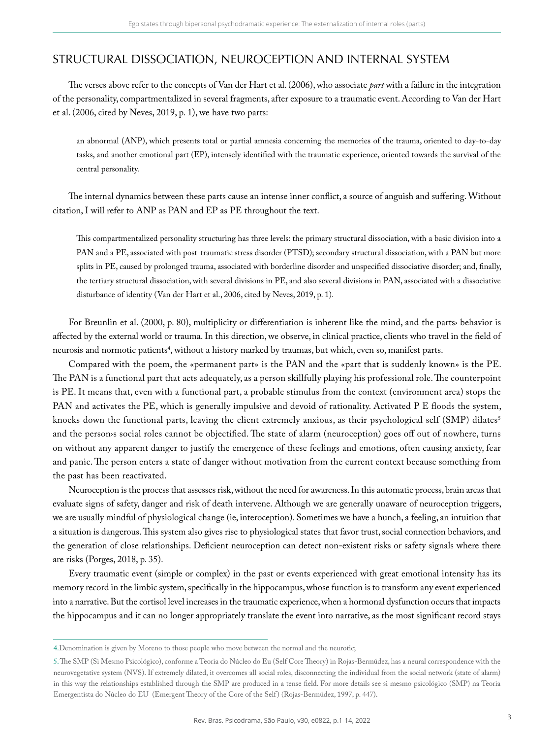# STRUCTURAL DISSOCIATION, NEUROCEPTION AND INTERNAL SYSTEM

The verses above refer to the concepts of Van der Hart et al. (2006), who associate *part* with a failure in the integration of the personality, compartmentalized in several fragments, after exposure to a traumatic event. According to Van der Hart et al. (2006, cited by Neves, 2019, p. 1), we have two parts:

an abnormal (ANP), which presents total or partial amnesia concerning the memories of the trauma, oriented to day-to-day tasks, and another emotional part (EP), intensely identified with the traumatic experience, oriented towards the survival of the central personality.

The internal dynamics between these parts cause an intense inner conflict, a source of anguish and suffering. Without citation, I will refer to ANP as PAN and EP as PE throughout the text.

This compartmentalized personality structuring has three levels: the primary structural dissociation, with a basic division into a PAN and a PE, associated with post-traumatic stress disorder (PTSD); secondary structural dissociation, with a PAN but more splits in PE, caused by prolonged trauma, associated with borderline disorder and unspecified dissociative disorder; and, finally, the tertiary structural dissociation, with several divisions in PE, and also several divisions in PAN, associated with a dissociative disturbance of identity (Van der Hart et al., 2006, cited by Neves, 2019, p. 1).

For Breunlin et al. (2000, p. 80), multiplicity or differentiation is inherent like the mind, and the parts› behavior is affected by the external world or trauma. In this direction, we observe, in clinical practice, clients who travel in the field of neurosis and normotic patients<sup>4</sup>, without a history marked by traumas, but which, even so, manifest parts.

Compared with the poem, the «permanent part» is the PAN and the «part that is suddenly known» is the PE. The PAN is a functional part that acts adequately, as a person skillfully playing his professional role. The counterpoint is PE. It means that, even with a functional part, a probable stimulus from the context (environment area) stops the PAN and activates the PE, which is generally impulsive and devoid of rationality. Activated P E floods the system, knocks down the functional parts, leaving the client extremely anxious, as their psychological self (SMP) dilates<sup>5</sup> and the person›s social roles cannot be objectified. The state of alarm (neuroception) goes off out of nowhere, turns on without any apparent danger to justify the emergence of these feelings and emotions, often causing anxiety, fear and panic. The person enters a state of danger without motivation from the current context because something from the past has been reactivated.

Neuroception is the process that assesses risk, without the need for awareness. In this automatic process, brain areas that evaluate signs of safety, danger and risk of death intervene. Although we are generally unaware of neuroception triggers, we are usually mindful of physiological change (ie, interoception). Sometimes we have a hunch, a feeling, an intuition that a situation is dangerous. This system also gives rise to physiological states that favor trust, social connection behaviors, and the generation of close relationships. Deficient neuroception can detect non-existent risks or safety signals where there are risks (Porges, 2018, p. 35).

Every traumatic event (simple or complex) in the past or events experienced with great emotional intensity has its memory record in the limbic system, specifically in the hippocampus, whose function is to transform any event experienced into a narrative. But the cortisol level increases in the traumatic experience, when a hormonal dysfunction occurs that impacts the hippocampus and it can no longer appropriately translate the event into narrative, as the most significant record stays

<sup>4.</sup>Denomination is given by Moreno to those people who move between the normal and the neurotic;

<sup>5.</sup> The SMP (Si Mesmo Psicológico), conforme a Teoria do Núcleo do Eu (Self Core Theory) in Rojas-Bermúdez, has a neural correspondence with the neurovegetative system (NVS). If extremely dilated, it overcomes all social roles, disconnecting the individual from the social network (state of alarm) in this way the relationships established through the SMP are produced in a tense field. For more details see si mesmo psicológico (SMP) na Teoria Emergentista do Núcleo do EU (Emergent Theory of the Core of the Self ) (Rojas-Bermúdez, 1997, p. 447).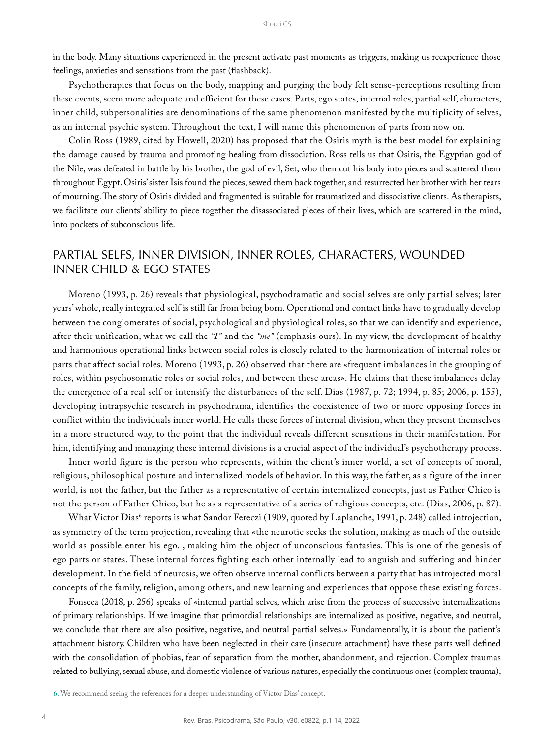in the body. Many situations experienced in the present activate past moments as triggers, making us reexperience those feelings, anxieties and sensations from the past (flashback).

Psychotherapies that focus on the body, mapping and purging the body felt sense-perceptions resulting from these events, seem more adequate and efficient for these cases. Parts, ego states, internal roles, partial self, characters, inner child, subpersonalities are denominations of the same phenomenon manifested by the multiplicity of selves, as an internal psychic system. Throughout the text, I will name this phenomenon of parts from now on.

Colin Ross (1989, cited by Howell, 2020) has proposed that the Osiris myth is the best model for explaining the damage caused by trauma and promoting healing from dissociation. Ross tells us that Osiris, the Egyptian god of the Nile, was defeated in battle by his brother, the god of evil, Set, who then cut his body into pieces and scattered them throughout Egypt. Osiris' sister Isis found the pieces, sewed them back together, and resurrected her brother with her tears of mourning. The story of Osiris divided and fragmented is suitable for traumatized and dissociative clients. As therapists, we facilitate our clients' ability to piece together the disassociated pieces of their lives, which are scattered in the mind, into pockets of subconscious life.

### PARTIAL SELFS, INNER DIVISION, INNER ROLES, CHARACTERS, WOUNDED INNER CHILD & EGO STATES

Moreno (1993, p. 26) reveals that physiological, psychodramatic and social selves are only partial selves; later years' whole, really integrated self is still far from being born. Operational and contact links have to gradually develop between the conglomerates of social, psychological and physiological roles, so that we can identify and experience, after their unification, what we call the *"I"* and the *"me"* (emphasis ours). In my view, the development of healthy and harmonious operational links between social roles is closely related to the harmonization of internal roles or parts that affect social roles. Moreno (1993, p. 26) observed that there are «frequent imbalances in the grouping of roles, within psychosomatic roles or social roles, and between these areas». He claims that these imbalances delay the emergence of a real self or intensify the disturbances of the self. Dias (1987, p. 72; 1994, p. 85; 2006, p. 155), developing intrapsychic research in psychodrama, identifies the coexistence of two or more opposing forces in conflict within the individuals inner world. He calls these forces of internal division, when they present themselves in a more structured way, to the point that the individual reveals different sensations in their manifestation. For him, identifying and managing these internal divisions is a crucial aspect of the individual's psychotherapy process.

Inner world figure is the person who represents, within the client's inner world, a set of concepts of moral, religious, philosophical posture and internalized models of behavior. In this way, the father, as a figure of the inner world, is not the father, but the father as a representative of certain internalized concepts, just as Father Chico is not the person of Father Chico, but he as a representative of a series of religious concepts, etc. (Dias, 2006, p. 87).

What Victor Dias<sup>6</sup> reports is what Sandor Fereczi (1909, quoted by Laplanche, 1991, p. 248) called introjection, as symmetry of the term projection, revealing that «the neurotic seeks the solution, making as much of the outside world as possible enter his ego. , making him the object of unconscious fantasies. This is one of the genesis of ego parts or states. These internal forces fighting each other internally lead to anguish and suffering and hinder development. In the field of neurosis, we often observe internal conflicts between a party that has introjected moral concepts of the family, religion, among others, and new learning and experiences that oppose these existing forces.

Fonseca (2018, p. 256) speaks of «internal partial selves, which arise from the process of successive internalizations of primary relationships. If we imagine that primordial relationships are internalized as positive, negative, and neutral, we conclude that there are also positive, negative, and neutral partial selves.» Fundamentally, it is about the patient's attachment history. Children who have been neglected in their care (insecure attachment) have these parts well defined with the consolidation of phobias, fear of separation from the mother, abandonment, and rejection. Complex traumas related to bullying, sexual abuse, and domestic violence of various natures, especially the continuous ones (complex trauma),

<sup>6.</sup> We recommend seeing the references for a deeper understanding of Victor Dias' concept.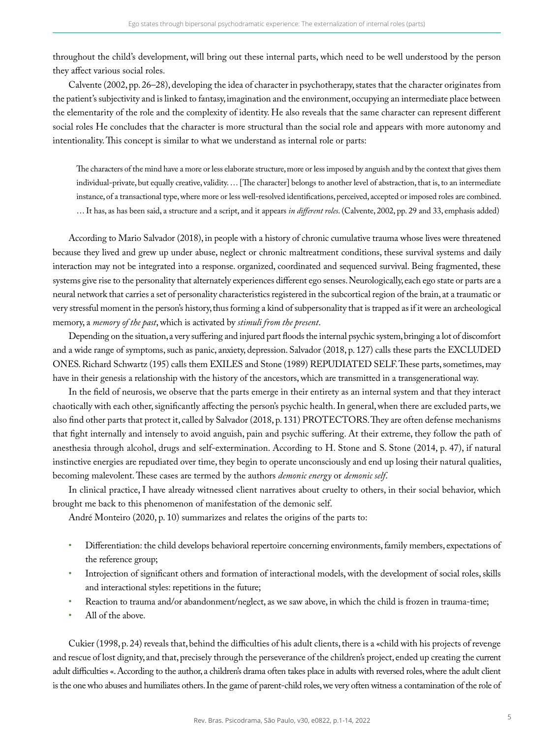throughout the child's development, will bring out these internal parts, which need to be well understood by the person they affect various social roles.

Calvente (2002, pp. 26–28), developing the idea of character in psychotherapy, states that the character originates from the patient's subjectivity and is linked to fantasy, imagination and the environment, occupying an intermediate place between the elementarity of the role and the complexity of identity. He also reveals that the same character can represent different social roles He concludes that the character is more structural than the social role and appears with more autonomy and intentionality. This concept is similar to what we understand as internal role or parts:

The characters of the mind have a more or less elaborate structure, more or less imposed by anguish and by the context that gives them individual-private, but equally creative, validity. … [The character] belongs to another level of abstraction, that is, to an intermediate instance, of a transactional type, where more or less well-resolved identifications, perceived, accepted or imposed roles are combined. … It has, as has been said, a structure and a script, and it appears *in different roles*. (Calvente, 2002, pp. 29 and 33, emphasis added)

According to Mario Salvador (2018), in people with a history of chronic cumulative trauma whose lives were threatened because they lived and grew up under abuse, neglect or chronic maltreatment conditions, these survival systems and daily interaction may not be integrated into a response. organized, coordinated and sequenced survival. Being fragmented, these systems give rise to the personality that alternately experiences different ego senses. Neurologically, each ego state or parts are a neural network that carries a set of personality characteristics registered in the subcortical region of the brain, at a traumatic or very stressful moment in the person's history, thus forming a kind of subpersonality that is trapped as if it were an archeological memory, a *memory of the past*, which is activated by *stimuli from the present*.

Depending on the situation, a very suffering and injured part floods the internal psychic system, bringing a lot of discomfort and a wide range of symptoms, such as panic, anxiety, depression. Salvador (2018, p. 127) calls these parts the EXCLUDED ONES. Richard Schwartz (195) calls them EXILES and Stone (1989) REPUDIATED SELF. These parts, sometimes, may have in their genesis a relationship with the history of the ancestors, which are transmitted in a transgenerational way.

In the field of neurosis, we observe that the parts emerge in their entirety as an internal system and that they interact chaotically with each other, significantly affecting the person's psychic health. In general, when there are excluded parts, we also find other parts that protect it, called by Salvador (2018, p. 131) PROTECTORS. They are often defense mechanisms that fight internally and intensely to avoid anguish, pain and psychic suffering. At their extreme, they follow the path of anesthesia through alcohol, drugs and self-extermination. According to H. Stone and S. Stone (2014, p. 47), if natural instinctive energies are repudiated over time, they begin to operate unconsciously and end up losing their natural qualities, becoming malevolent. These cases are termed by the authors *demonic energy* or *demonic self*.

In clinical practice, I have already witnessed client narratives about cruelty to others, in their social behavior, which brought me back to this phenomenon of manifestation of the demonic self.

André Monteiro (2020, p. 10) summarizes and relates the origins of the parts to:

- Differentiation: the child develops behavioral repertoire concerning environments, family members, expectations of the reference group;
- Introjection of significant others and formation of interactional models, with the development of social roles, skills and interactional styles: repetitions in the future;
- Reaction to trauma and/or abandonment/neglect, as we saw above, in which the child is frozen in trauma-time;
- All of the above.

Cukier (1998, p. 24) reveals that, behind the difficulties of his adult clients, there is a «child with his projects of revenge and rescue of lost dignity, and that, precisely through the perseverance of the children's project, ended up creating the current adult difficulties «. According to the author, a children's drama often takes place in adults with reversed roles, where the adult client is the one who abuses and humiliates others. In the game of parent-child roles, we very often witness a contamination of the role of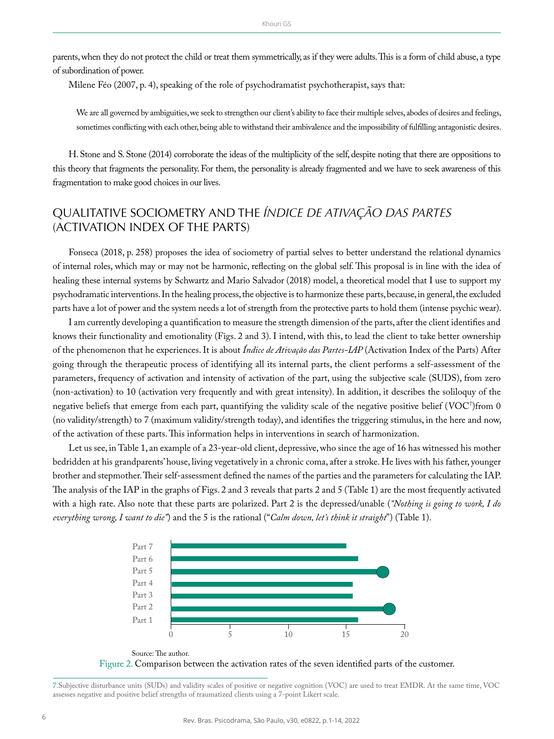parents, when they do not protect the child or treat them symmetrically, as if they were adults. This is a form of child abuse, a type of subordination of power.

Milene Féo (2007, p. 4), speaking of the role of psychodramatist psychotherapist, says that:

We are all governed by ambiguities, we seek to strengthen our client's ability to face their multiple selves, abodes of desires and feelings, sometimes conflicting with each other, being able to withstand their ambivalence and the impossibility of fulfilling antagonistic desires.

H. Stone and S. Stone (2014) corroborate the ideas of the multiplicity of the self, despite noting that there are oppositions to this theory that fragments the personality. For them, the personality is already fragmented and we have to seek awareness of this fragmentation to make good choices in our lives.

# QUALITATIVE SOCIOMETRY AND THE *ÍNDICE DE ATIVAÇÃO DAS PARTES* (ACTIVATION INDEX OF THE PARTS)

Fonseca (2018, p. 258) proposes the idea of sociometry of partial selves to better understand the relational dynamics of internal roles, which may or may not be harmonic, reflecting on the global self. This proposal is in line with the idea of healing these internal systems by Schwartz and Mario Salvador (2018) model, a theoretical model that I use to support my psychodramatic interventions. In the healing process, the objective is to harmonize these parts, because, in general, the excluded parts have a lot of power and the system needs a lot of strength from the protective parts to hold them (intense psychic wear).

I am currently developing a quantification to measure the strength dimension of the parts, after the client identifies and knows their functionality and emotionality (Figs. 2 and 3). I intend, with this, to lead the client to take better ownership of the phenomenon that he experiences. It is about *Índice de Ativação das Partes-IAP* (Activation Index of the Parts) After going through the therapeutic process of identifying all its internal parts, the client performs a self-assessment of the parameters, frequency of activation and intensity of activation of the part, using the subjective scale (SUDS), from zero (non-activation) to 10 (activation very frequently and with great intensity). In addition, it describes the soliloquy of the negative beliefs that emerge from each part, quantifying the validity scale of the negative positive belief (VOC')from 0 (no validity/strength) to 7 (maximum validity/strength today), and identifies the triggering stimulus, in the here and now, of the activation of these parts. This information helps in interventions in search of harmonization.

Let us see, in Table 1, an example of a 23-year-old client, depressive, who since the age of 16 has witnessed his mother bedridden at his grandparents' house, living vegetatively in a chronic coma, after a stroke. He lives with his father, younger brother and stepmother. Their self-assessment defined the names of the parties and the parameters for calculating the IAP. The analysis of the IAP in the graphs of Figs. 2 and 3 reveals that parts 2 and 5 (Table 1) are the most frequently activated with a high rate. Also note that these parts are polarized. Part 2 is the depressed/unable (*"Nothing is going to work, I do everything wrong, I want to die"*) and the 5 is the rational ("*Calm down, let's think it straight*") (Table 1).





7.Subjective disturbance units (SUDs) and validity scales of positive or negative cognition (VOC) are used to treat EMDR. At the same time, VOC assesses negative and positive belief strengths of traumatized clients using a 7-point Likert scale.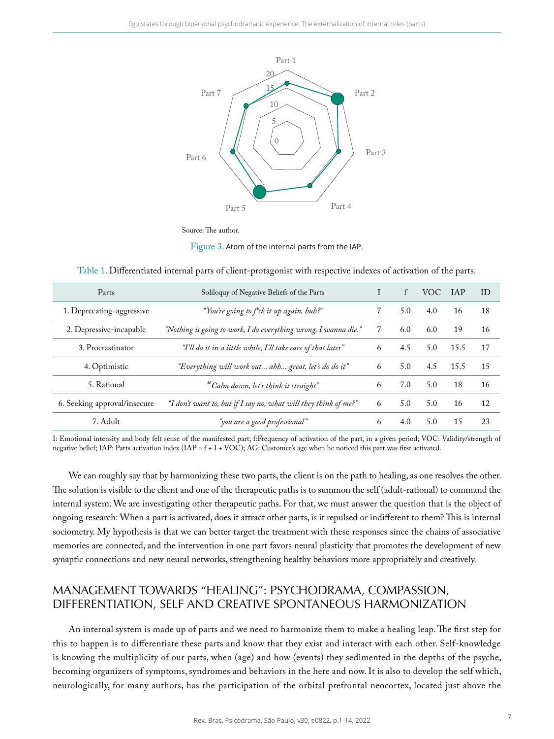

Source: The author.

Figure 3. Atom of the internal parts from the IAP.

| Parts                        | Soliloguy of Negative Beliefs of the Parts                      |   | f   | VOC. | <b>TAP</b> | ID |
|------------------------------|-----------------------------------------------------------------|---|-----|------|------------|----|
| 1. Deprecating-aggressive    | "You're going to f*ck it up again, huh?"                        |   | 5.0 | 4.0  | 16         | 18 |
| 2. Depressive-incapable      | "Nothing is going to work, I do everything wrong, I wanna die." | 7 | 6.0 | 6.0  | 19         | 16 |
| 3. Procrastinator            | "I'll do it in a little while, I'll take care of that later"    | 6 | 4.5 | 5.0  | 15.5       | 17 |
| 4. Optimistic                | "Everything will work out ahh great, let's do do it"            | 6 | 5.0 | 4.5  | 15.5       | 15 |
| 5. Rational                  | "Calm down, let's think it straight"                            | 6 | 7.0 | 5.0  | 18         | 16 |
| 6. Seeking approval/insecure | "I don't want to, but if I say no, what will they think of me?" |   | 5.0 | 5.0  | 16         | 12 |
| 7. Adult                     | "you are a good professional"                                   | 6 | 4.0 | 5.0  | 15         | 23 |

Table 1. Differentiated internal parts of client-protagonist with respective indexes of activation of the parts.

I: Emotional intensity and body felt sense of the manifested part; f:Frequency of activation of the part, in a given period; VOC: Validity/strength of negative belief; IAP: Parts activation index (IAP = f + I + VOC); AG: Customer's age when he noticed this part was first activated.

We can roughly say that by harmonizing these two parts, the client is on the path to healing, as one resolves the other. The solution is visible to the client and one of the therapeutic paths is to summon the self (adult-rational) to command the internal system. We are investigating other therapeutic paths. For that, we must answer the question that is the object of ongoing research: When a part is activated, does it attract other parts, is it repulsed or indifferent to them? This is internal sociometry. My hypothesis is that we can better target the treatment with these responses since the chains of associative memories are connected, and the intervention in one part favors neural plasticity that promotes the development of new synaptic connections and new neural networks, strengthening healthy behaviors more appropriately and creatively.

# MANAGEMENT TOWARDS "HEALING": PSYCHODRAMA, COMPASSION, DIFFERENTIATION, SELF AND CREATIVE SPONTANEOUS HARMONIZATION

An internal system is made up of parts and we need to harmonize them to make a healing leap. The first step for this to happen is to differentiate these parts and know that they exist and interact with each other. Self-knowledge is knowing the multiplicity of our parts, when (age) and how (events) they sedimented in the depths of the psyche, becoming organizers of symptoms, syndromes and behaviors in the here and now. It is also to develop the self which, neurologically, for many authors, has the participation of the orbital prefrontal neocortex, located just above the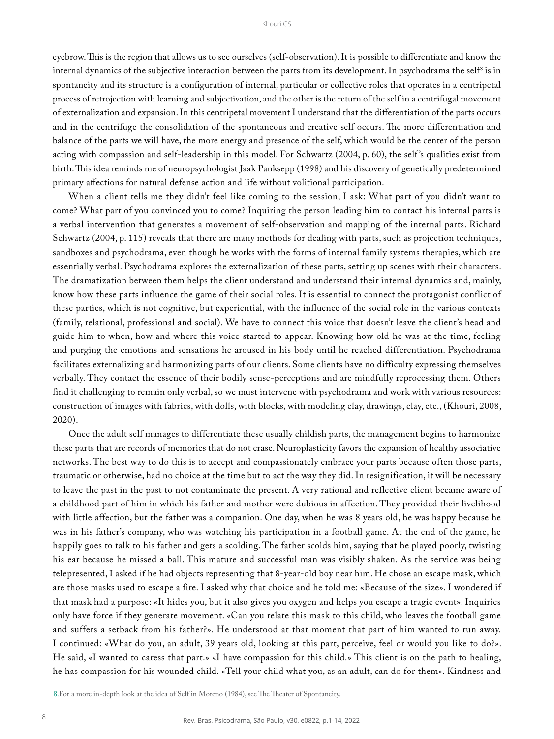eyebrow. This is the region that allows us to see ourselves (self-observation). It is possible to differentiate and know the internal dynamics of the subjective interaction between the parts from its development. In psychodrama the self $^{\mathrm{s}}$  is in spontaneity and its structure is a configuration of internal, particular or collective roles that operates in a centripetal process of retrojection with learning and subjectivation, and the other is the return of the self in a centrifugal movement of externalization and expansion. In this centripetal movement I understand that the differentiation of the parts occurs and in the centrifuge the consolidation of the spontaneous and creative self occurs. The more differentiation and balance of the parts we will have, the more energy and presence of the self, which would be the center of the person acting with compassion and self-leadership in this model. For Schwartz (2004, p. 60), the self 's qualities exist from birth. This idea reminds me of neuropsychologist Jaak Panksepp (1998) and his discovery of genetically predetermined primary affections for natural defense action and life without volitional participation.

When a client tells me they didn't feel like coming to the session, I ask: What part of you didn't want to come? What part of you convinced you to come? Inquiring the person leading him to contact his internal parts is a verbal intervention that generates a movement of self-observation and mapping of the internal parts. Richard Schwartz (2004, p. 115) reveals that there are many methods for dealing with parts, such as projection techniques, sandboxes and psychodrama, even though he works with the forms of internal family systems therapies, which are essentially verbal. Psychodrama explores the externalization of these parts, setting up scenes with their characters. The dramatization between them helps the client understand and understand their internal dynamics and, mainly, know how these parts influence the game of their social roles. It is essential to connect the protagonist conflict of these parties, which is not cognitive, but experiential, with the influence of the social role in the various contexts (family, relational, professional and social). We have to connect this voice that doesn't leave the client's head and guide him to when, how and where this voice started to appear. Knowing how old he was at the time, feeling and purging the emotions and sensations he aroused in his body until he reached differentiation. Psychodrama facilitates externalizing and harmonizing parts of our clients. Some clients have no difficulty expressing themselves verbally. They contact the essence of their bodily sense-perceptions and are mindfully reprocessing them. Others find it challenging to remain only verbal, so we must intervene with psychodrama and work with various resources: construction of images with fabrics, with dolls, with blocks, with modeling clay, drawings, clay, etc., (Khouri, 2008, 2020).

Once the adult self manages to differentiate these usually childish parts, the management begins to harmonize these parts that are records of memories that do not erase. Neuroplasticity favors the expansion of healthy associative networks. The best way to do this is to accept and compassionately embrace your parts because often those parts, traumatic or otherwise, had no choice at the time but to act the way they did. In resignification, it will be necessary to leave the past in the past to not contaminate the present. A very rational and reflective client became aware of a childhood part of him in which his father and mother were dubious in affection. They provided their livelihood with little affection, but the father was a companion. One day, when he was 8 years old, he was happy because he was in his father's company, who was watching his participation in a football game. At the end of the game, he happily goes to talk to his father and gets a scolding. The father scolds him, saying that he played poorly, twisting his ear because he missed a ball. This mature and successful man was visibly shaken. As the service was being telepresented, I asked if he had objects representing that 8-year-old boy near him. He chose an escape mask, which are those masks used to escape a fire. I asked why that choice and he told me: «Because of the size». I wondered if that mask had a purpose: «It hides you, but it also gives you oxygen and helps you escape a tragic event». Inquiries only have force if they generate movement. «Can you relate this mask to this child, who leaves the football game and suffers a setback from his father?». He understood at that moment that part of him wanted to run away. I continued: «What do you, an adult, 39 years old, looking at this part, perceive, feel or would you like to do?». He said, «I wanted to caress that part.» «I have compassion for this child.» This client is on the path to healing, he has compassion for his wounded child. «Tell your child what you, as an adult, can do for them». Kindness and

<sup>8.</sup>For a more in-depth look at the idea of Self in Moreno (1984), see The Theater of Spontaneity.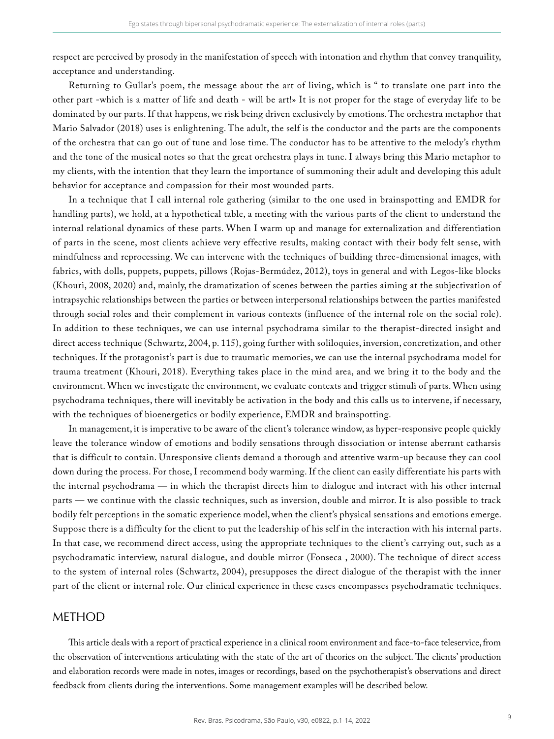respect are perceived by prosody in the manifestation of speech with intonation and rhythm that convey tranquility, acceptance and understanding.

Returning to Gullar's poem, the message about the art of living, which is " to translate one part into the other part -which is a matter of life and death - will be art!» It is not proper for the stage of everyday life to be dominated by our parts. If that happens, we risk being driven exclusively by emotions. The orchestra metaphor that Mario Salvador (2018) uses is enlightening. The adult, the self is the conductor and the parts are the components of the orchestra that can go out of tune and lose time. The conductor has to be attentive to the melody's rhythm and the tone of the musical notes so that the great orchestra plays in tune. I always bring this Mario metaphor to my clients, with the intention that they learn the importance of summoning their adult and developing this adult behavior for acceptance and compassion for their most wounded parts.

In a technique that I call internal role gathering (similar to the one used in brainspotting and EMDR for handling parts), we hold, at a hypothetical table, a meeting with the various parts of the client to understand the internal relational dynamics of these parts. When I warm up and manage for externalization and differentiation of parts in the scene, most clients achieve very effective results, making contact with their body felt sense, with mindfulness and reprocessing. We can intervene with the techniques of building three-dimensional images, with fabrics, with dolls, puppets, puppets, pillows (Rojas-Bermúdez, 2012), toys in general and with Legos-like blocks (Khouri, 2008, 2020) and, mainly, the dramatization of scenes between the parties aiming at the subjectivation of intrapsychic relationships between the parties or between interpersonal relationships between the parties manifested through social roles and their complement in various contexts (influence of the internal role on the social role). In addition to these techniques, we can use internal psychodrama similar to the therapist-directed insight and direct access technique (Schwartz, 2004, p. 115), going further with soliloquies, inversion, concretization, and other techniques. If the protagonist's part is due to traumatic memories, we can use the internal psychodrama model for trauma treatment (Khouri, 2018). Everything takes place in the mind area, and we bring it to the body and the environment. When we investigate the environment, we evaluate contexts and trigger stimuli of parts. When using psychodrama techniques, there will inevitably be activation in the body and this calls us to intervene, if necessary, with the techniques of bioenergetics or bodily experience, EMDR and brainspotting.

In management, it is imperative to be aware of the client's tolerance window, as hyper-responsive people quickly leave the tolerance window of emotions and bodily sensations through dissociation or intense aberrant catharsis that is difficult to contain. Unresponsive clients demand a thorough and attentive warm-up because they can cool down during the process. For those, I recommend body warming. If the client can easily differentiate his parts with the internal psychodrama — in which the therapist directs him to dialogue and interact with his other internal parts — we continue with the classic techniques, such as inversion, double and mirror. It is also possible to track bodily felt perceptions in the somatic experience model, when the client's physical sensations and emotions emerge. Suppose there is a difficulty for the client to put the leadership of his self in the interaction with his internal parts. In that case, we recommend direct access, using the appropriate techniques to the client's carrying out, such as a psychodramatic interview, natural dialogue, and double mirror (Fonseca , 2000). The technique of direct access to the system of internal roles (Schwartz, 2004), presupposes the direct dialogue of the therapist with the inner part of the client or internal role. Our clinical experience in these cases encompasses psychodramatic techniques.

#### METHOD

This article deals with a report of practical experience in a clinical room environment and face-to-face teleservice, from the observation of interventions articulating with the state of the art of theories on the subject. The clients' production and elaboration records were made in notes, images or recordings, based on the psychotherapist's observations and direct feedback from clients during the interventions. Some management examples will be described below.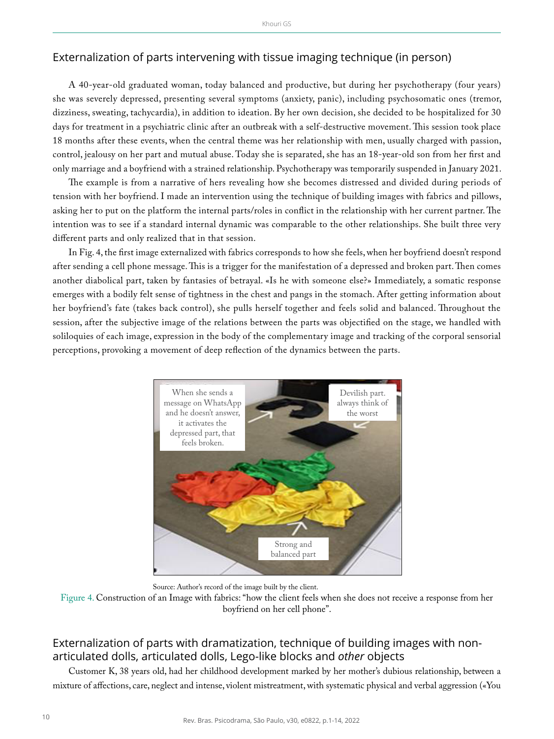### Externalization of parts intervening with tissue imaging technique (in person)

A 40-year-old graduated woman, today balanced and productive, but during her psychotherapy (four years) she was severely depressed, presenting several symptoms (anxiety, panic), including psychosomatic ones (tremor, dizziness, sweating, tachycardia), in addition to ideation. By her own decision, she decided to be hospitalized for 30 days for treatment in a psychiatric clinic after an outbreak with a self-destructive movement. This session took place 18 months after these events, when the central theme was her relationship with men, usually charged with passion, control, jealousy on her part and mutual abuse. Today she is separated, she has an 18-year-old son from her first and only marriage and a boyfriend with a strained relationship. Psychotherapy was temporarily suspended in January 2021.

The example is from a narrative of hers revealing how she becomes distressed and divided during periods of tension with her boyfriend. I made an intervention using the technique of building images with fabrics and pillows, asking her to put on the platform the internal parts/roles in conflict in the relationship with her current partner. The intention was to see if a standard internal dynamic was comparable to the other relationships. She built three very different parts and only realized that in that session.

In Fig. 4, the first image externalized with fabrics corresponds to how she feels, when her boyfriend doesn't respond after sending a cell phone message. This is a trigger for the manifestation of a depressed and broken part. Then comes another diabolical part, taken by fantasies of betrayal. «Is he with someone else?» Immediately, a somatic response emerges with a bodily felt sense of tightness in the chest and pangs in the stomach. After getting information about her boyfriend's fate (takes back control), she pulls herself together and feels solid and balanced. Throughout the session, after the subjective image of the relations between the parts was objectified on the stage, we handled with soliloquies of each image, expression in the body of the complementary image and tracking of the corporal sensorial perceptions, provoking a movement of deep reflection of the dynamics between the parts.



Source: Author's record of the image built by the client.

Figure 4. Construction of an Image with fabrics: "how the client feels when she does not receive a response from her boyfriend on her cell phone".

# Externalization of parts with dramatization, technique of building images with nonarticulated dolls, articulated dolls, Lego-like blocks and *other* objects

Customer K, 38 years old, had her childhood development marked by her mother's dubious relationship, between a mixture of affections, care, neglect and intense, violent mistreatment, with systematic physical and verbal aggression («You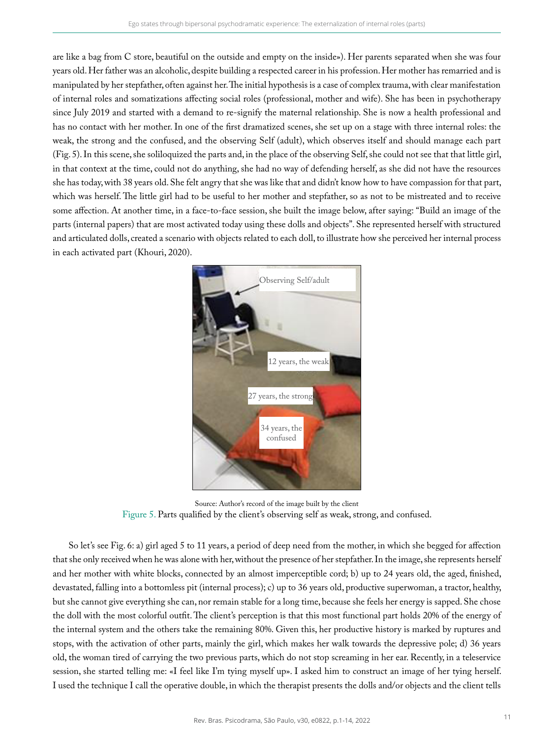are like a bag from C store, beautiful on the outside and empty on the inside»). Her parents separated when she was four years old. Her father was an alcoholic, despite building a respected career in his profession. Her mother has remarried and is manipulated by her stepfather, often against her. The initial hypothesis is a case of complex trauma, with clear manifestation of internal roles and somatizations affecting social roles (professional, mother and wife). She has been in psychotherapy since July 2019 and started with a demand to re-signify the maternal relationship. She is now a health professional and has no contact with her mother. In one of the first dramatized scenes, she set up on a stage with three internal roles: the weak, the strong and the confused, and the observing Self (adult), which observes itself and should manage each part (Fig. 5). In this scene, she soliloquized the parts and, in the place of the observing Self, she could not see that that little girl, in that context at the time, could not do anything, she had no way of defending herself, as she did not have the resources she has today, with 38 years old. She felt angry that she was like that and didn't know how to have compassion for that part, which was herself. The little girl had to be useful to her mother and stepfather, so as not to be mistreated and to receive some affection. At another time, in a face-to-face session, she built the image below, after saying: "Build an image of the parts (internal papers) that are most activated today using these dolls and objects". She represented herself with structured and articulated dolls, created a scenario with objects related to each doll, to illustrate how she perceived her internal process in each activated part (Khouri, 2020).



Source: Author's record of the image built by the client Figure 5. Parts qualified by the client's observing self as weak, strong, and confused.

So let's see Fig. 6: a) girl aged 5 to 11 years, a period of deep need from the mother, in which she begged for affection that she only received when he was alone with her, without the presence of her stepfather. In the image, she represents herself and her mother with white blocks, connected by an almost imperceptible cord; b) up to 24 years old, the aged, finished, devastated, falling into a bottomless pit (internal process); c) up to 36 years old, productive superwoman, a tractor, healthy, but she cannot give everything she can, nor remain stable for a long time, because she feels her energy is sapped. She chose the doll with the most colorful outfit. The client's perception is that this most functional part holds 20% of the energy of the internal system and the others take the remaining 80%. Given this, her productive history is marked by ruptures and stops, with the activation of other parts, mainly the girl, which makes her walk towards the depressive pole; d) 36 years old, the woman tired of carrying the two previous parts, which do not stop screaming in her ear. Recently, in a teleservice session, she started telling me: «I feel like I'm tying myself up». I asked him to construct an image of her tying herself. I used the technique I call the operative double, in which the therapist presents the dolls and/or objects and the client tells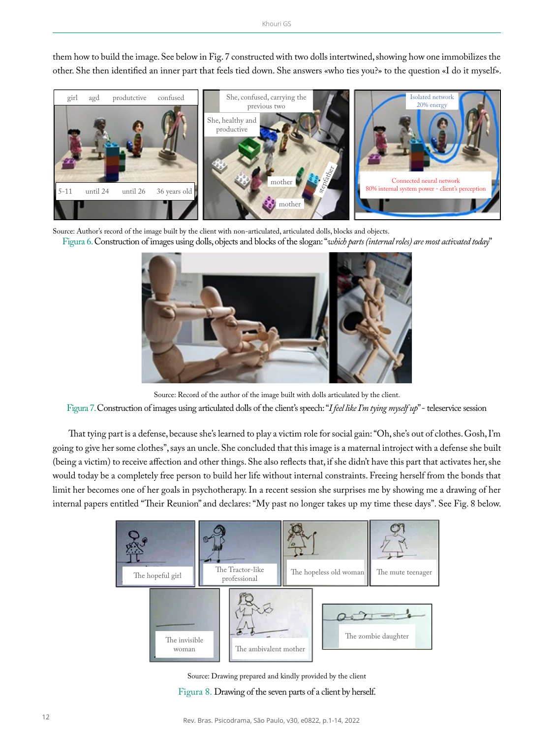them how to build the image. See below in Fig. 7 constructed with two dolls intertwined, showing how one immobilizes the other. She then identified an inner part that feels tied down. She answers «who ties you?» to the question «I do it myself».



Source: Author's record of the image built by the client with non-articulated, articulated dolls, blocks and objects. Figura 6.Construction of images using dolls, objects and blocks of the slogan: "*which parts (internal roles) are most activated today*"



Source: Record of the author of the image built with dolls articulated by the client. Figura 7. Construction of images using articulated dolls of the client's speech: "*I feel like I'm tying myself up*" - teleservice session

That tying part is a defense, because she's learned to play a victim role for social gain: "Oh, she's out of clothes. Gosh, I'm going to give her some clothes", says an uncle. She concluded that this image is a maternal introject with a defense she built (being a victim) to receive affection and other things. She also reflects that, if she didn't have this part that activates her, she would today be a completely free person to build her life without internal constraints. Freeing herself from the bonds that limit her becomes one of her goals in psychotherapy. In a recent session she surprises me by showing me a drawing of her internal papers entitled "Their Reunion" and declares: "My past no longer takes up my time these days". See Fig. 8 below.

| The hopeful girl       | The Tractor-like<br>professional | The hopeless old woman | The mute teenager   |
|------------------------|----------------------------------|------------------------|---------------------|
| The invisible<br>woman | The ambivalent mother            |                        | The zombie daughter |

Source: Drawing prepared and kindly provided by the client Figura 8. Drawing of the seven parts of a client by herself.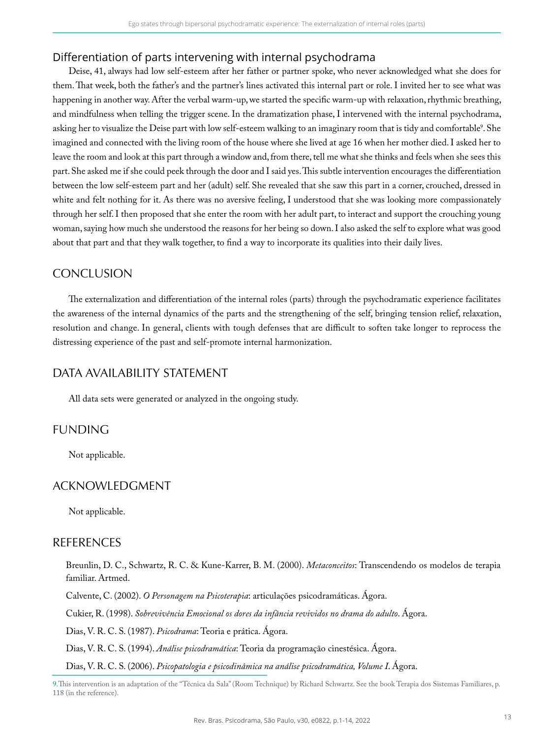### Differentiation of parts intervening with internal psychodrama

Deise, 41, always had low self-esteem after her father or partner spoke, who never acknowledged what she does for them. That week, both the father's and the partner's lines activated this internal part or role. I invited her to see what was happening in another way. After the verbal warm-up, we started the specific warm-up with relaxation, rhythmic breathing, and mindfulness when telling the trigger scene. In the dramatization phase, I intervened with the internal psychodrama, asking her to visualize the Deise part with low self-esteem walking to an imaginary room that is tidy and comfortable<sup>9</sup>. She imagined and connected with the living room of the house where she lived at age 16 when her mother died. I asked her to leave the room and look at this part through a window and, from there, tell me what she thinks and feels when she sees this part. She asked me if she could peek through the door and I said yes. This subtle intervention encourages the differentiation between the low self-esteem part and her (adult) self. She revealed that she saw this part in a corner, crouched, dressed in white and felt nothing for it. As there was no aversive feeling, I understood that she was looking more compassionately through her self. I then proposed that she enter the room with her adult part, to interact and support the crouching young woman, saying how much she understood the reasons for her being so down. I also asked the self to explore what was good about that part and that they walk together, to find a way to incorporate its qualities into their daily lives.

# **CONCLUSION**

The externalization and differentiation of the internal roles (parts) through the psychodramatic experience facilitates the awareness of the internal dynamics of the parts and the strengthening of the self, bringing tension relief, relaxation, resolution and change. In general, clients with tough defenses that are difficult to soften take longer to reprocess the distressing experience of the past and self-promote internal harmonization.

# DATA AVAILABILITY STATEMENT

All data sets were generated or analyzed in the ongoing study.

## FUNDING

Not applicable.

## ACKNOWLEDGMENT

Not applicable.

## REFERENCES

Breunlin, D. C., Schwartz, R. C. & Kune-Karrer, B. M. (2000). *Metaconceitos*: Transcendendo os modelos de terapia familiar. Artmed.

Calvente, C. (2002). *O Personagem na Psicoterapia*: articulações psicodramáticas. Ágora.

Cukier, R. (1998). *Sobrevivência Emocional os dores da infância revividos no drama do adulto*. Ágora.

Dias, V. R. C. S. (1987). *Psicodrama*: Teoria e prática. Ágora.

Dias, V. R. C. S. (1994). *Análise psicodramática*: Teoria da programação cinestésica. Ágora.

Dias, V. R. C. S. (2006). *Psicopatologia e psicodinâmica na análise psicodramática, Volume I*. Ágora.

9.This intervention is an adaptation of the "Técnica da Sala" (Room Technique) by Richard Schwartz. See the book Terapia dos Sistemas Familiares, p. 118 (in the reference).